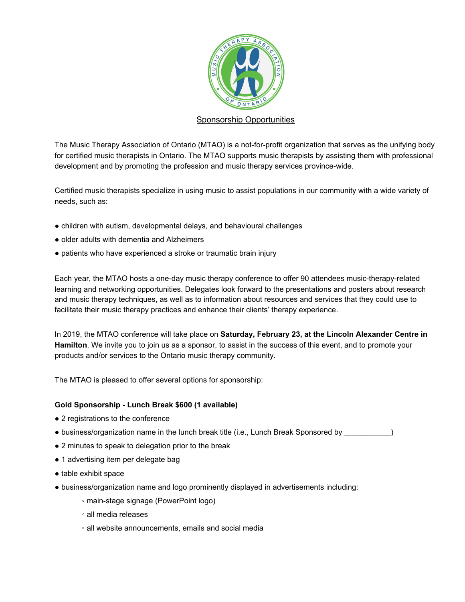

# Sponsorship Opportunities

The Music Therapy Association of Ontario (MTAO) is a not-for-profit organization that serves as the unifying body for certified music therapists in Ontario. The MTAO supports music therapists by assisting them with professional development and by promoting the profession and music therapy services province-wide.

Certified music therapists specialize in using music to assist populations in our community with a wide variety of needs, such as:

- children with autism, developmental delays, and behavioural challenges
- older adults with dementia and Alzheimers
- patients who have experienced a stroke or traumatic brain injury

Each year, the MTAO hosts a one-day music therapy conference to offer 90 attendees music-therapy-related learning and networking opportunities. Delegates look forward to the presentations and posters about research and music therapy techniques, as well as to information about resources and services that they could use to facilitate their music therapy practices and enhance their clients' therapy experience.

In 2019, the MTAO conference will take place on **Saturday, February 23, at the Lincoln Alexander Centre in Hamilton**. We invite you to join us as a sponsor, to assist in the success of this event, and to promote your products and/or services to the Ontario music therapy community.

The MTAO is pleased to offer several options for sponsorship:

## **Gold Sponsorship - Lunch Break \$600 (1 available)**

- 2 registrations to the conference
- business/organization name in the lunch break title (i.e., Lunch Break Sponsored by \_\_\_\_\_\_\_\_\_\_)
- 2 minutes to speak to delegation prior to the break
- 1 advertising item per delegate bag
- table exhibit space
- business/organization name and logo prominently displayed in advertisements including:
	- main-stage signage (PowerPoint logo)
	- all media releases
	- all website announcements, emails and social media